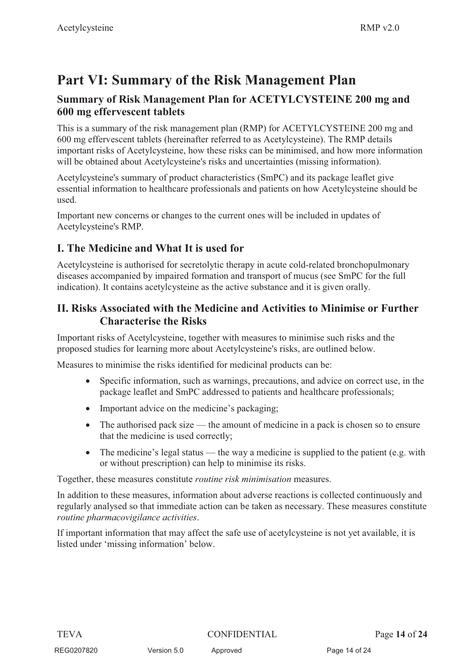# **Part VI: Summary of the Risk Management Plan**

## **Summary of Risk Management Plan for ACETYLCYSTEINE 200 mg and 600 mg effervescent tablets**

This is a summary of the risk management plan (RMP) for ACETYLCYSTEINE 200 mg and 600 mg effervescent tablets (hereinafter referred to as Acetylcysteine). The RMP details important risks of Acetylcysteine, how these risks can be minimised, and how more information will be obtained about Acetylcysteine's risks and uncertainties (missing information).

Acetylcysteine's summary of product characteristics (SmPC) and its package leaflet give essential information to healthcare professionals and patients on how Acetylcysteine should be used.

Important new concerns or changes to the current ones will be included in updates of Acetylcysteine's RMP.

# **I. The Medicine and What It is used for**

Acetylcysteine is authorised for secretolytic therapy in acute cold-related bronchopulmonary diseases accompanied by impaired formation and transport of mucus (see SmPC for the full indication). It contains acetylcysteine as the active substance and it is given orally.

## **II. Risks Associated with the Medicine and Activities to Minimise or Further Characterise the Risks**

Important risks of Acetylcysteine, together with measures to minimise such risks and the proposed studies for learning more about Acetylcysteine's risks, are outlined below.

Measures to minimise the risks identified for medicinal products can be:

- $\bullet$  Specific information, such as warnings, precautions, and advice on correct use, in the package leaflet and SmPC addressed to patients and healthcare professionals;
- Important advice on the medicine's packaging;
- $\bullet$  The authorised pack size — the amount of medicine in a pack is chosen so to ensure that the medicine is used correctly;
- $\bullet$  The medicine's legal status — the way a medicine is supplied to the patient (e.g. with or without prescription) can help to minimise its risks.

Together, these measures constitute *routine risk minimisation* measures.

In addition to these measures, information about adverse reactions is collected continuously and regularly analysed so that immediate action can be taken as necessary. These measures constitute *routine pharmacovigilance activities*.

If important information that may affect the safe use of acetylcysteine is not yet available, it is listed under 'missing information' below.